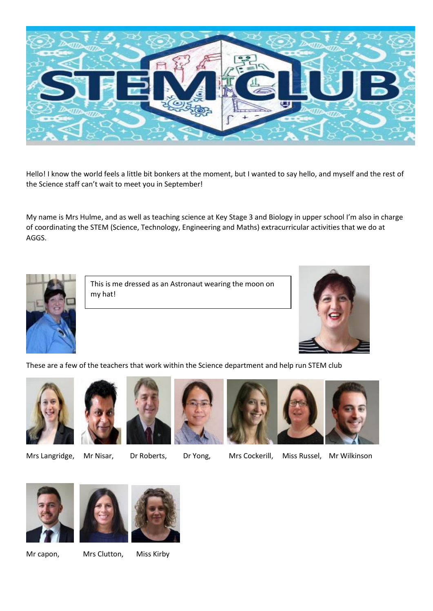

Hello! I know the world feels a little bit bonkers at the moment, but I wanted to say hello, and myself and the rest of the Science staff can't wait to meet you in September!

My name is Mrs Hulme, and as well as teaching science at Key Stage 3 and Biology in upper school I'm also in charge of coordinating the STEM (Science, Technology, Engineering and Maths) extracurricular activities that we do at AGGS.



This is me dressed as an Astronaut wearing the moon on my hat!



These are a few of the teachers that work within the Science department and help run STEM club







Mrs Langridge, Mr Nisar, Dr Roberts, Dr Yong, Mrs Cockerill, Miss Russel, Mr Wilkinson





Mr capon, Mrs Clutton, Miss Kirby